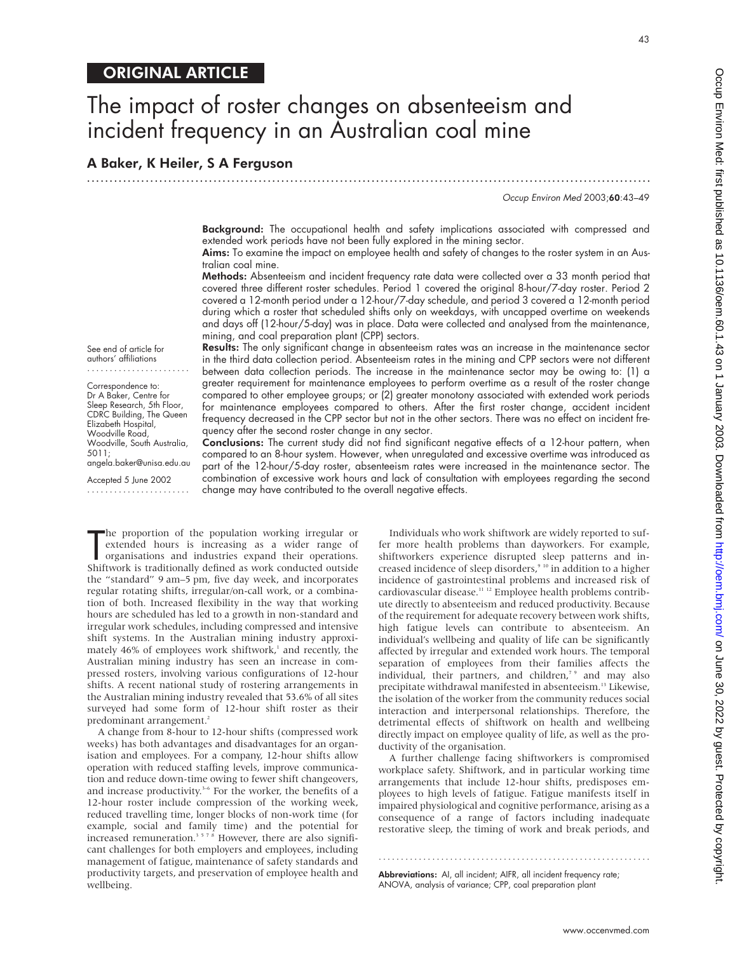# The impact of roster changes on absenteeism and incident frequency in an Australian coal mine

.............................................................................................................................

# A Baker, K Heiler, S A Ferguson

Occup Environ Med 2003;60:43–49

43

**Background:** The occupational health and safety implications associated with compressed and extended work periods have not been fully explored in the mining sector.

Aims: To examine the impact on employee health and safety of changes to the roster system in an Australian coal mine.

Methods: Absenteeism and incident frequency rate data were collected over a 33 month period that covered three different roster schedules. Period 1 covered the original 8-hour/7-day roster. Period 2 covered a 12-month period under a 12-hour/7-day schedule, and period 3 covered a 12-month period during which a roster that scheduled shifts only on weekdays, with uncapped overtime on weekends and days off (12-hour/5-day) was in place. Data were collected and analysed from the maintenance, mining, and coal preparation plant (CPP) sectors.

See end of article for authors' affiliations .......................

Correspondence to: Dr A Baker, Centre for Sleep Research, 5th Floor, CDRC Building, The Queen Elizabeth Hospital, Woodville Road, Woodville, South Australia, 5011; angela.baker@unisa.edu.au

Accepted 5 June 2002 .......................

Results: The only significant change in absenteeism rates was an increase in the maintenance sector in the third data collection period. Absenteeism rates in the mining and CPP sectors were not different between data collection periods. The increase in the maintenance sector may be owing to: (1) a greater requirement for maintenance employees to perform overtime as a result of the roster change compared to other employee groups; or (2) greater monotony associated with extended work periods for maintenance employees compared to others. After the first roster change, accident incident frequency decreased in the CPP sector but not in the other sectors. There was no effect on incident frequency after the second roster change in any sector.

Conclusions: The current study did not find significant negative effects of a 12-hour pattern, when compared to an 8-hour system. However, when unregulated and excessive overtime was introduced as part of the 12-hour/5-day roster, absenteeism rates were increased in the maintenance sector. The combination of excessive work hours and lack of consultation with employees regarding the second change may have contributed to the overall negative effects.

The proportion of the population working irregular or extended hours is increasing as a wider range of organisations and industries expand their operations.<br>Shiftwork is traditionally defined as work conducted outside he proportion of the population working irregular or extended hours is increasing as a wider range of organisations and industries expand their operations. the "standard" 9 am–5 pm, five day week, and incorporates regular rotating shifts, irregular/on-call work, or a combination of both. Increased flexibility in the way that working hours are scheduled has led to a growth in non-standard and irregular work schedules, including compressed and intensive shift systems. In the Australian mining industry approximately  $46\%$  of employees work shiftwork, $\lambda$  and recently, the Australian mining industry has seen an increase in compressed rosters, involving various configurations of 12-hour shifts. A recent national study of rostering arrangements in the Australian mining industry revealed that 53.6% of all sites surveyed had some form of 12-hour shift roster as their predominant arrangement.<sup>2</sup>

A change from 8-hour to 12-hour shifts (compressed work weeks) has both advantages and disadvantages for an organisation and employees. For a company, 12-hour shifts allow operation with reduced staffing levels, improve communication and reduce down-time owing to fewer shift changeovers, and increase productivity. $3-6$  For the worker, the benefits of a 12-hour roster include compression of the working week, reduced travelling time, longer blocks of non-work time (for example, social and family time) and the potential for increased remuneration.<sup>3578</sup> However, there are also significant challenges for both employers and employees, including management of fatigue, maintenance of safety standards and productivity targets, and preservation of employee health and wellbeing.

Individuals who work shiftwork are widely reported to suffer more health problems than dayworkers. For example, shiftworkers experience disrupted sleep patterns and increased incidence of sleep disorders,<sup>910</sup> in addition to a higher incidence of gastrointestinal problems and increased risk of cardiovascular disease.<sup>11-12</sup> Employee health problems contribute directly to absenteeism and reduced productivity. Because of the requirement for adequate recovery between work shifts, high fatigue levels can contribute to absenteeism. An individual's wellbeing and quality of life can be significantly affected by irregular and extended work hours. The temporal separation of employees from their families affects the individual, their partners, and children,<sup>79</sup> and may also precipitate withdrawal manifested in absenteeism.<sup>13</sup> Likewise, the isolation of the worker from the community reduces social interaction and interpersonal relationships. Therefore, the detrimental effects of shiftwork on health and wellbeing directly impact on employee quality of life, as well as the productivity of the organisation.

A further challenge facing shiftworkers is compromised workplace safety. Shiftwork, and in particular working time arrangements that include 12-hour shifts, predisposes employees to high levels of fatigue. Fatigue manifests itself in impaired physiological and cognitive performance, arising as a consequence of a range of factors including inadequate restorative sleep, the timing of work and break periods, and

.............................................................

Abbreviations: AI, all incident; AIFR, all incident frequency rate; ANOVA, analysis of variance; CPP, coal preparation plant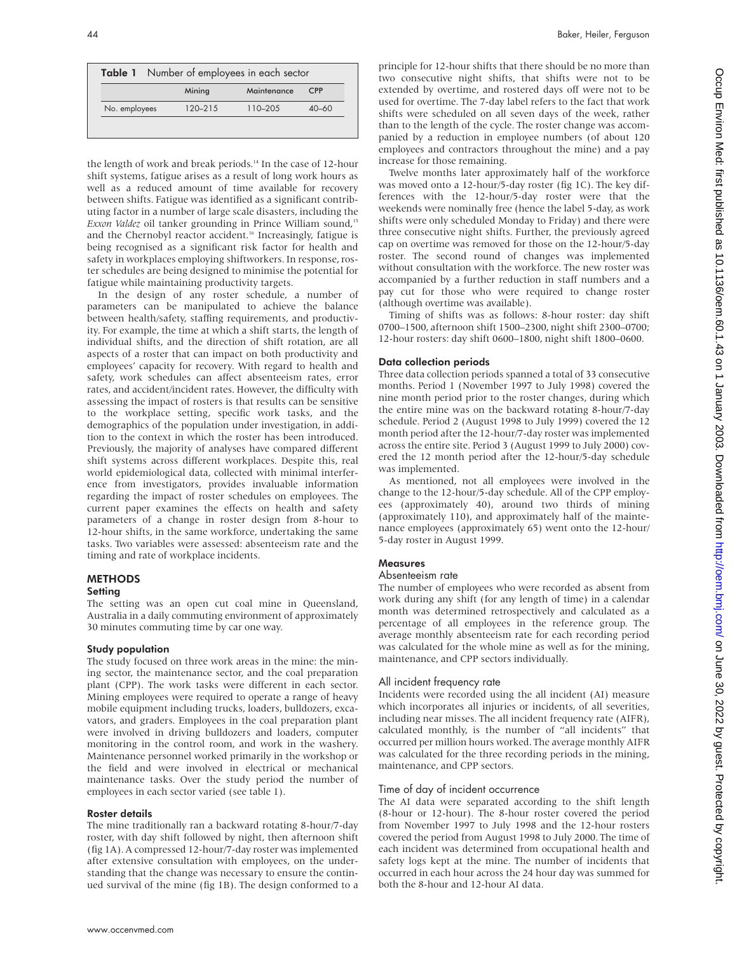|               | Mining      | Maintenance | <b>CPP</b> |
|---------------|-------------|-------------|------------|
| No. employees | $120 - 215$ | 110-205     | $40 - 60$  |

the length of work and break periods.<sup>14</sup> In the case of 12-hour shift systems, fatigue arises as a result of long work hours as well as a reduced amount of time available for recovery between shifts. Fatigue was identified as a significant contributing factor in a number of large scale disasters, including the *Exxon Valdez* oil tanker grounding in Prince William sound,<sup>15</sup> and the Chernobyl reactor accident.<sup>16</sup> Increasingly, fatigue is being recognised as a significant risk factor for health and safety in workplaces employing shiftworkers. In response, roster schedules are being designed to minimise the potential for fatigue while maintaining productivity targets.

In the design of any roster schedule, a number of parameters can be manipulated to achieve the balance between health/safety, staffing requirements, and productivity. For example, the time at which a shift starts, the length of individual shifts, and the direction of shift rotation, are all aspects of a roster that can impact on both productivity and employees' capacity for recovery. With regard to health and safety, work schedules can affect absenteeism rates, error rates, and accident/incident rates. However, the difficulty with assessing the impact of rosters is that results can be sensitive to the workplace setting, specific work tasks, and the demographics of the population under investigation, in addition to the context in which the roster has been introduced. Previously, the majority of analyses have compared different shift systems across different workplaces. Despite this, real world epidemiological data, collected with minimal interference from investigators, provides invaluable information regarding the impact of roster schedules on employees. The current paper examines the effects on health and safety parameters of a change in roster design from 8-hour to 12-hour shifts, in the same workforce, undertaking the same tasks. Two variables were assessed: absenteeism rate and the timing and rate of workplace incidents.

### **METHODS**

#### **Setting**

The setting was an open cut coal mine in Queensland, Australia in a daily commuting environment of approximately 30 minutes commuting time by car one way.

#### Study population

The study focused on three work areas in the mine: the mining sector, the maintenance sector, and the coal preparation plant (CPP). The work tasks were different in each sector. Mining employees were required to operate a range of heavy mobile equipment including trucks, loaders, bulldozers, excavators, and graders. Employees in the coal preparation plant were involved in driving bulldozers and loaders, computer monitoring in the control room, and work in the washery. Maintenance personnel worked primarily in the workshop or the field and were involved in electrical or mechanical maintenance tasks. Over the study period the number of employees in each sector varied (see table 1).

#### Roster details

The mine traditionally ran a backward rotating 8-hour/7-day roster, with day shift followed by night, then afternoon shift (fig 1A). A compressed 12-hour/7-day roster was implemented after extensive consultation with employees, on the understanding that the change was necessary to ensure the continued survival of the mine (fig 1B). The design conformed to a

principle for 12-hour shifts that there should be no more than two consecutive night shifts, that shifts were not to be extended by overtime, and rostered days off were not to be used for overtime. The 7-day label refers to the fact that work shifts were scheduled on all seven days of the week, rather than to the length of the cycle. The roster change was accompanied by a reduction in employee numbers (of about 120 employees and contractors throughout the mine) and a pay increase for those remaining.

Twelve months later approximately half of the workforce was moved onto a 12-hour/5-day roster (fig 1C). The key differences with the 12-hour/5-day roster were that the weekends were nominally free (hence the label 5-day, as work shifts were only scheduled Monday to Friday) and there were three consecutive night shifts. Further, the previously agreed cap on overtime was removed for those on the 12-hour/5-day roster. The second round of changes was implemented without consultation with the workforce. The new roster was accompanied by a further reduction in staff numbers and a pay cut for those who were required to change roster (although overtime was available).

Timing of shifts was as follows: 8-hour roster: day shift 0700–1500, afternoon shift 1500–2300, night shift 2300–0700; 12-hour rosters: day shift 0600–1800, night shift 1800–0600.

#### Data collection periods

Three data collection periods spanned a total of 33 consecutive months. Period 1 (November 1997 to July 1998) covered the nine month period prior to the roster changes, during which the entire mine was on the backward rotating 8-hour/7-day schedule. Period 2 (August 1998 to July 1999) covered the 12 month period after the 12-hour/7-day roster was implemented across the entire site. Period 3 (August 1999 to July 2000) covered the 12 month period after the 12-hour/5-day schedule was implemented.

As mentioned, not all employees were involved in the change to the 12-hour/5-day schedule. All of the CPP employees (approximately 40), around two thirds of mining (approximately 110), and approximately half of the maintenance employees (approximately 65) went onto the 12-hour/ 5-day roster in August 1999.

#### Measures

#### Absenteeism rate

The number of employees who were recorded as absent from work during any shift (for any length of time) in a calendar month was determined retrospectively and calculated as a percentage of all employees in the reference group. The average monthly absenteeism rate for each recording period was calculated for the whole mine as well as for the mining, maintenance, and CPP sectors individually.

#### All incident frequency rate

Incidents were recorded using the all incident (AI) measure which incorporates all injuries or incidents, of all severities, including near misses. The all incident frequency rate (AIFR), calculated monthly, is the number of "all incidents" that occurred per million hours worked. The average monthly AIFR was calculated for the three recording periods in the mining, maintenance, and CPP sectors.

#### Time of day of incident occurrence

The AI data were separated according to the shift length (8-hour or 12-hour). The 8-hour roster covered the period from November 1997 to July 1998 and the 12-hour rosters covered the period from August 1998 to July 2000. The time of each incident was determined from occupational health and safety logs kept at the mine. The number of incidents that occurred in each hour across the 24 hour day was summed for both the 8-hour and 12-hour AI data.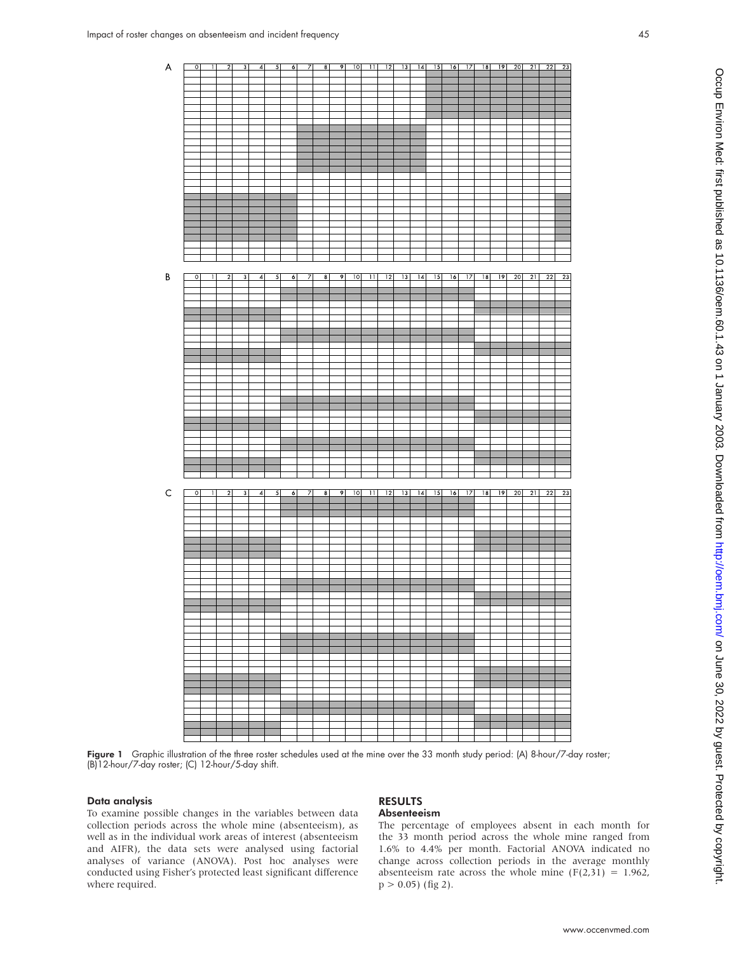

Figure 1 Graphic illustration of the three roster schedules used at the mine over the 33 month study period: (A) 8-hour/7-day roster; (B)12-hour/7-day roster; (C) 12-hour/5-day shift.

#### Data analysis

To examine possible changes in the variables between data collection periods across the whole mine (absenteeism), as well as in the individual work areas of interest (absenteeism and AIFR), the data sets were analysed using factorial analyses of variance (ANOVA). Post hoc analyses were conducted using Fisher's protected least significant difference where required.

#### RESULTS Absenteeism

The percentage of employees absent in each month for the 33 month period across the whole mine ranged from 1.6% to 4.4% per month. Factorial ANOVA indicated no change across collection periods in the average monthly absenteeism rate across the whole mine  $(F(2,31) = 1.962)$ ,  $p > 0.05$ ) (fig 2).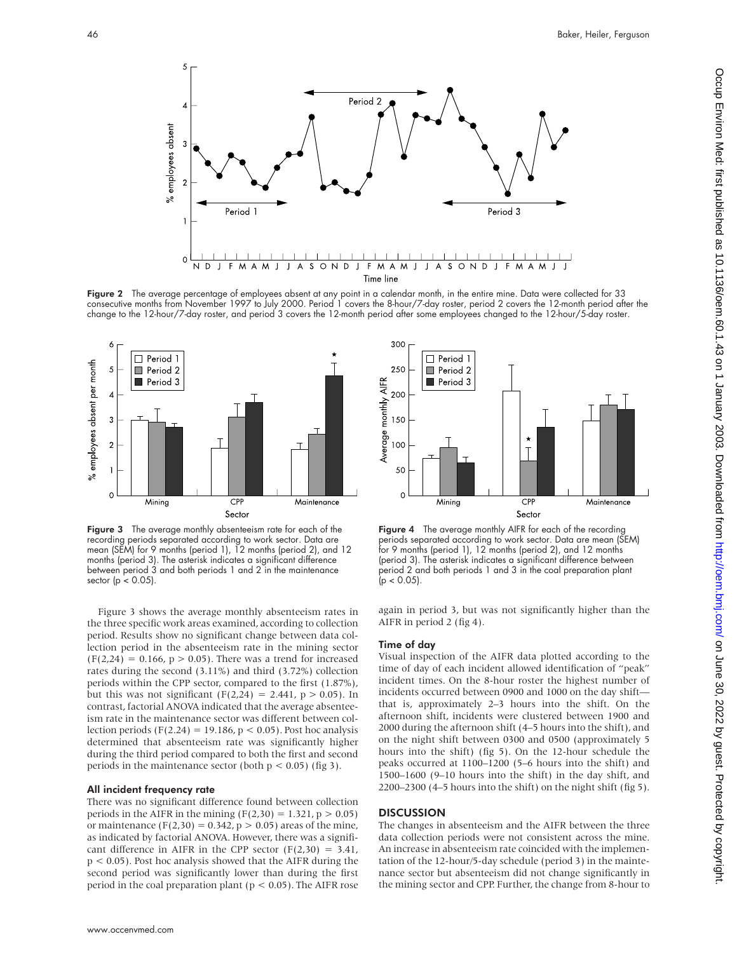

Figure 2 The average percentage of employees absent at any point in a calendar month, in the entire mine. Data were collected for 33 consecutive months from November 1997 to July 2000. Period 1 covers the 8-hour/7-day roster, period 2 covers the 12-month period after the change to the 12-hour/7-day roster, and period 3 covers the 12-month period after some employees changed to the 12-hour/5-day roster.



Figure 3 The average monthly absenteeism rate for each of the recording periods separated according to work sector. Data are mean (SEM) for 9 months (period 1), 12 months (period 2), and 12 months (period 3). The asterisk indicates a significant difference between period 3 and both periods 1 and 2 in the maintenance sector ( $p < 0.05$ ).

Figure 3 shows the average monthly absenteeism rates in the three specific work areas examined, according to collection period. Results show no significant change between data collection period in the absenteeism rate in the mining sector  $(F(2,24) = 0.166, p > 0.05)$ . There was a trend for increased rates during the second (3.11%) and third (3.72%) collection periods within the CPP sector, compared to the first (1.87%), but this was not significant (F(2,24) = 2.441,  $p > 0.05$ ). In contrast, factorial ANOVA indicated that the average absenteeism rate in the maintenance sector was different between collection periods (F(2.24) = 19.186,  $p < 0.05$ ). Post hoc analysis determined that absenteeism rate was significantly higher during the third period compared to both the first and second periods in the maintenance sector (both  $p < 0.05$ ) (fig 3).

#### All incident frequency rate

There was no significant difference found between collection periods in the AIFR in the mining  $(F(2,30) = 1.321, p > 0.05)$ or maintenance (F(2,30) = 0.342,  $p > 0.05$ ) areas of the mine, as indicated by factorial ANOVA. However, there was a significant difference in AIFR in the CPP sector  $(F(2,30) = 3.41,$ p < 0.05). Post hoc analysis showed that the AIFR during the second period was significantly lower than during the first period in the coal preparation plant ( $p < 0.05$ ). The AIFR rose



Figure 4 The average monthly AIFR for each of the recording periods separated according to work sector. Data are mean (SEM) for 9 months (period 1), 12 months (period 2), and 12 months (period 3). The asterisk indicates a significant difference between period 2 and both periods 1 and 3 in the coal preparation plant  $(p < 0.05)$ .

again in period 3, but was not significantly higher than the AIFR in period 2 (fig 4).

#### Time of day

Visual inspection of the AIFR data plotted according to the time of day of each incident allowed identification of "peak" incident times. On the 8-hour roster the highest number of incidents occurred between 0900 and 1000 on the day shift that is, approximately 2–3 hours into the shift. On the afternoon shift, incidents were clustered between 1900 and 2000 during the afternoon shift (4–5 hours into the shift), and on the night shift between 0300 and 0500 (approximately 5 hours into the shift) (fig 5). On the 12-hour schedule the peaks occurred at 1100–1200 (5–6 hours into the shift) and 1500–1600 (9–10 hours into the shift) in the day shift, and 2200–2300 (4–5 hours into the shift) on the night shift (fig 5).

#### **DISCUSSION**

The changes in absenteeism and the AIFR between the three data collection periods were not consistent across the mine. An increase in absenteeism rate coincided with the implementation of the 12-hour/5-day schedule (period 3) in the maintenance sector but absenteeism did not change significantly in the mining sector and CPP. Further, the change from 8-hour to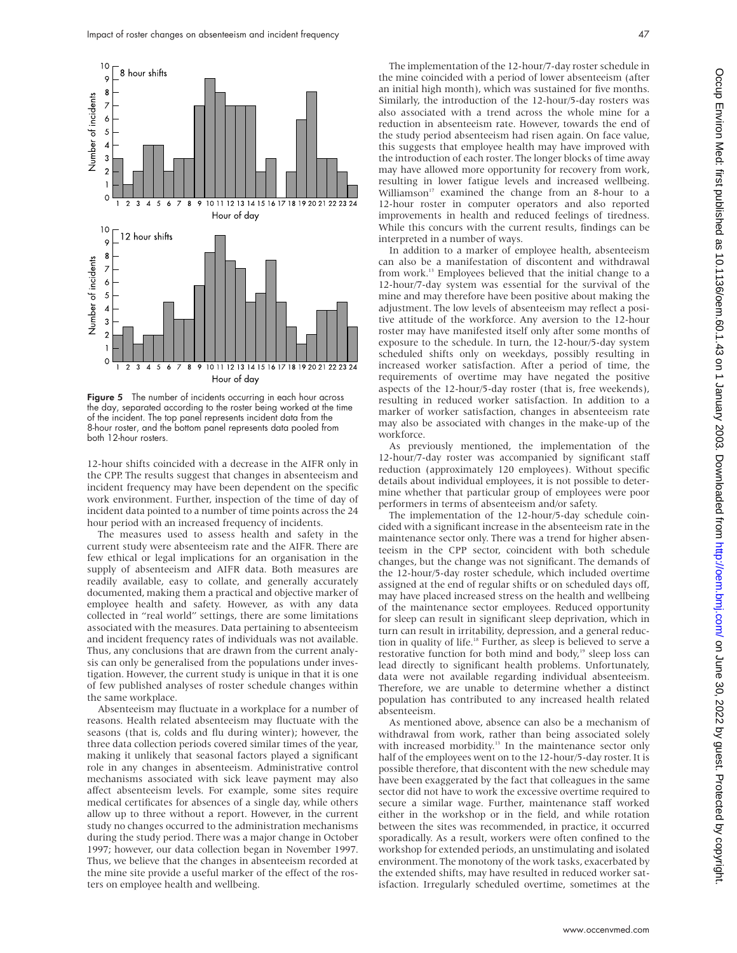

Figure 5 The number of incidents occurring in each hour across the day, separated according to the roster being worked at the time of the incident. The top panel represents incident data from the 8-hour roster, and the bottom panel represents data pooled from both 12-hour rosters.

12-hour shifts coincided with a decrease in the AIFR only in the CPP. The results suggest that changes in absenteeism and incident frequency may have been dependent on the specific work environment. Further, inspection of the time of day of incident data pointed to a number of time points across the 24 hour period with an increased frequency of incidents.

The measures used to assess health and safety in the current study were absenteeism rate and the AIFR. There are few ethical or legal implications for an organisation in the supply of absenteeism and AIFR data. Both measures are readily available, easy to collate, and generally accurately documented, making them a practical and objective marker of employee health and safety. However, as with any data collected in "real world" settings, there are some limitations associated with the measures. Data pertaining to absenteeism and incident frequency rates of individuals was not available. Thus, any conclusions that are drawn from the current analysis can only be generalised from the populations under investigation. However, the current study is unique in that it is one of few published analyses of roster schedule changes within the same workplace.

Absenteeism may fluctuate in a workplace for a number of reasons. Health related absenteeism may fluctuate with the seasons (that is, colds and flu during winter); however, the three data collection periods covered similar times of the year, making it unlikely that seasonal factors played a significant role in any changes in absenteeism. Administrative control mechanisms associated with sick leave payment may also affect absenteeism levels. For example, some sites require medical certificates for absences of a single day, while others allow up to three without a report. However, in the current study no changes occurred to the administration mechanisms during the study period. There was a major change in October 1997; however, our data collection began in November 1997. Thus, we believe that the changes in absenteeism recorded at the mine site provide a useful marker of the effect of the rosters on employee health and wellbeing.

The implementation of the 12-hour/7-day roster schedule in the mine coincided with a period of lower absenteeism (after an initial high month), which was sustained for five months. Similarly, the introduction of the 12-hour/5-day rosters was also associated with a trend across the whole mine for a reduction in absenteeism rate. However, towards the end of the study period absenteeism had risen again. On face value, this suggests that employee health may have improved with the introduction of each roster. The longer blocks of time away may have allowed more opportunity for recovery from work, resulting in lower fatigue levels and increased wellbeing. Williamson $17$  examined the change from an 8-hour to a 12-hour roster in computer operators and also reported improvements in health and reduced feelings of tiredness. While this concurs with the current results, findings can be interpreted in a number of ways.

In addition to a marker of employee health, absenteeism can also be a manifestation of discontent and withdrawal from work.<sup>13</sup> Employees believed that the initial change to a 12-hour/7-day system was essential for the survival of the mine and may therefore have been positive about making the adjustment. The low levels of absenteeism may reflect a positive attitude of the workforce. Any aversion to the 12-hour roster may have manifested itself only after some months of exposure to the schedule. In turn, the 12-hour/5-day system scheduled shifts only on weekdays, possibly resulting in increased worker satisfaction. After a period of time, the requirements of overtime may have negated the positive aspects of the 12-hour/5-day roster (that is, free weekends), resulting in reduced worker satisfaction. In addition to a marker of worker satisfaction, changes in absenteeism rate may also be associated with changes in the make-up of the workforce.

As previously mentioned, the implementation of the 12-hour/7-day roster was accompanied by significant staff reduction (approximately 120 employees). Without specific details about individual employees, it is not possible to determine whether that particular group of employees were poor performers in terms of absenteeism and/or safety.

The implementation of the 12-hour/5-day schedule coincided with a significant increase in the absenteeism rate in the maintenance sector only. There was a trend for higher absenteeism in the CPP sector, coincident with both schedule changes, but the change was not significant. The demands of the 12-hour/5-day roster schedule, which included overtime assigned at the end of regular shifts or on scheduled days off, may have placed increased stress on the health and wellbeing of the maintenance sector employees. Reduced opportunity for sleep can result in significant sleep deprivation, which in turn can result in irritability, depression, and a general reduction in quality of life.<sup>18</sup> Further, as sleep is believed to serve a restorative function for both mind and body,<sup>19</sup> sleep loss can lead directly to significant health problems. Unfortunately, data were not available regarding individual absenteeism. Therefore, we are unable to determine whether a distinct population has contributed to any increased health related absenteeism.

As mentioned above, absence can also be a mechanism of withdrawal from work, rather than being associated solely with increased morbidity.<sup>13</sup> In the maintenance sector only half of the employees went on to the 12-hour/5-day roster. It is possible therefore, that discontent with the new schedule may have been exaggerated by the fact that colleagues in the same sector did not have to work the excessive overtime required to secure a similar wage. Further, maintenance staff worked either in the workshop or in the field, and while rotation between the sites was recommended, in practice, it occurred sporadically. As a result, workers were often confined to the workshop for extended periods, an unstimulating and isolated environment. The monotony of the work tasks, exacerbated by the extended shifts, may have resulted in reduced worker satisfaction. Irregularly scheduled overtime, sometimes at the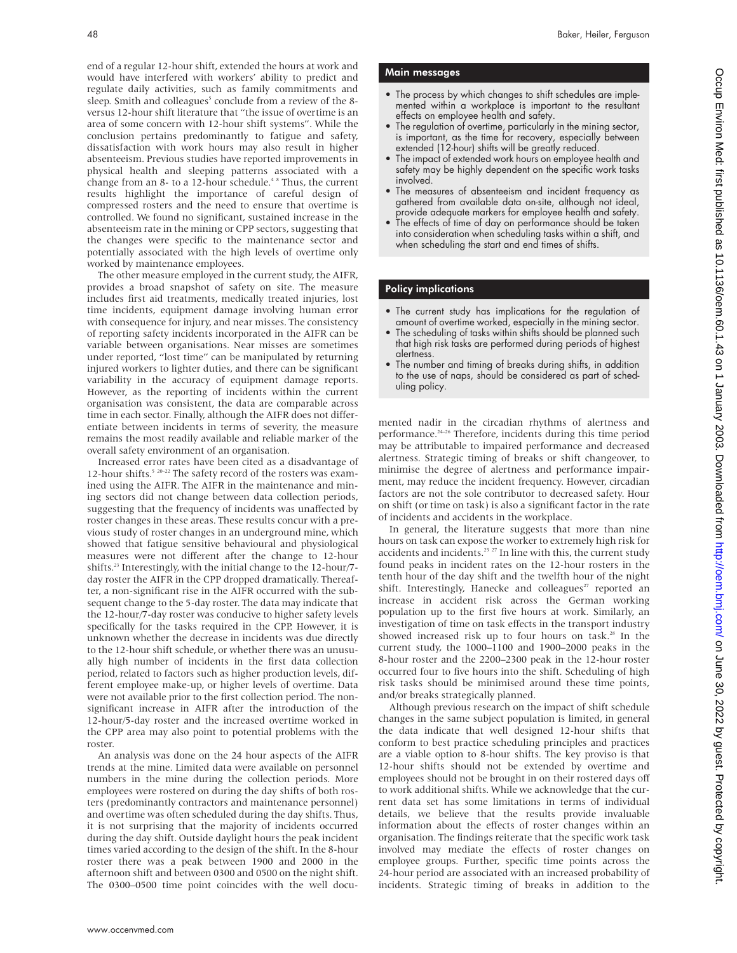end of a regular 12-hour shift, extended the hours at work and would have interfered with workers' ability to predict and regulate daily activities, such as family commitments and sleep. Smith and colleagues<sup>5</sup> conclude from a review of the 8versus 12-hour shift literature that "the issue of overtime is an area of some concern with 12-hour shift systems". While the conclusion pertains predominantly to fatigue and safety, dissatisfaction with work hours may also result in higher absenteeism. Previous studies have reported improvements in physical health and sleeping patterns associated with a change from an 8- to a 12-hour schedule.<sup>4 8</sup> Thus, the current results highlight the importance of careful design of compressed rosters and the need to ensure that overtime is controlled. We found no significant, sustained increase in the absenteeism rate in the mining or CPP sectors, suggesting that the changes were specific to the maintenance sector and potentially associated with the high levels of overtime only worked by maintenance employees.

The other measure employed in the current study, the AIFR, provides a broad snapshot of safety on site. The measure includes first aid treatments, medically treated injuries, lost time incidents, equipment damage involving human error with consequence for injury, and near misses. The consistency of reporting safety incidents incorporated in the AIFR can be variable between organisations. Near misses are sometimes under reported, "lost time" can be manipulated by returning injured workers to lighter duties, and there can be significant variability in the accuracy of equipment damage reports. However, as the reporting of incidents within the current organisation was consistent, the data are comparable across time in each sector. Finally, although the AIFR does not differentiate between incidents in terms of severity, the measure remains the most readily available and reliable marker of the overall safety environment of an organisation.

Increased error rates have been cited as a disadvantage of 12-hour shifts.<sup>5 20-22</sup> The safety record of the rosters was examined using the AIFR. The AIFR in the maintenance and mining sectors did not change between data collection periods, suggesting that the frequency of incidents was unaffected by roster changes in these areas. These results concur with a previous study of roster changes in an underground mine, which showed that fatigue sensitive behavioural and physiological measures were not different after the change to 12-hour shifts.<sup>23</sup> Interestingly, with the initial change to the 12-hour/7day roster the AIFR in the CPP dropped dramatically. Thereafter, a non-significant rise in the AIFR occurred with the subsequent change to the 5-day roster. The data may indicate that the 12-hour/7-day roster was conducive to higher safety levels specifically for the tasks required in the CPP. However, it is unknown whether the decrease in incidents was due directly to the 12-hour shift schedule, or whether there was an unusually high number of incidents in the first data collection period, related to factors such as higher production levels, different employee make-up, or higher levels of overtime. Data were not available prior to the first collection period. The nonsignificant increase in AIFR after the introduction of the 12-hour/5-day roster and the increased overtime worked in the CPP area may also point to potential problems with the roster.

An analysis was done on the 24 hour aspects of the AIFR trends at the mine. Limited data were available on personnel numbers in the mine during the collection periods. More employees were rostered on during the day shifts of both rosters (predominantly contractors and maintenance personnel) and overtime was often scheduled during the day shifts. Thus, it is not surprising that the majority of incidents occurred during the day shift. Outside daylight hours the peak incident times varied according to the design of the shift. In the 8-hour roster there was a peak between 1900 and 2000 in the afternoon shift and between 0300 and 0500 on the night shift. The 0300–0500 time point coincides with the well docu-

#### Main messages

- The process by which changes to shift schedules are implemented within a workplace is important to the resultant effects on employee health and safety.
- The regulation of overtime, particularly in the mining sector, is important, as the time for recovery, especially between extended (12-hour) shifts will be greatly reduced.
- The impact of extended work hours on employee health and safety may be highly dependent on the specific work tasks involved.
- The measures of absenteeism and incident frequency as gathered from available data on-site, although not ideal, provide adequate markers for employee health and safety.
- The effects of time of day on performance should be taken into consideration when scheduling tasks within a shift, and when scheduling the start and end times of shifts.

# Policy implications

- The current study has implications for the regulation of amount of overtime worked, especially in the mining sector.
- The scheduling of tasks within shifts should be planned such that high risk tasks are performed during periods of highest alertness.
- The number and timing of breaks during shifts, in addition to the use of naps, should be considered as part of scheduling policy.

mented nadir in the circadian rhythms of alertness and performance.24–26 Therefore, incidents during this time period may be attributable to impaired performance and decreased alertness. Strategic timing of breaks or shift changeover, to minimise the degree of alertness and performance impairment, may reduce the incident frequency. However, circadian factors are not the sole contributor to decreased safety. Hour on shift (or time on task) is also a significant factor in the rate of incidents and accidents in the workplace.

In general, the literature suggests that more than nine hours on task can expose the worker to extremely high risk for accidents and incidents. $^{25-27}$  In line with this, the current study found peaks in incident rates on the 12-hour rosters in the tenth hour of the day shift and the twelfth hour of the night shift. Interestingly, Hanecke and colleagues<sup>27</sup> reported an increase in accident risk across the German working population up to the first five hours at work. Similarly, an investigation of time on task effects in the transport industry showed increased risk up to four hours on task.<sup>28</sup> In the current study, the 1000–1100 and 1900–2000 peaks in the 8-hour roster and the 2200–2300 peak in the 12-hour roster occurred four to five hours into the shift. Scheduling of high risk tasks should be minimised around these time points, and/or breaks strategically planned.

Although previous research on the impact of shift schedule changes in the same subject population is limited, in general the data indicate that well designed 12-hour shifts that conform to best practice scheduling principles and practices are a viable option to 8-hour shifts. The key proviso is that 12-hour shifts should not be extended by overtime and employees should not be brought in on their rostered days off to work additional shifts. While we acknowledge that the current data set has some limitations in terms of individual details, we believe that the results provide invaluable information about the effects of roster changes within an organisation. The findings reiterate that the specific work task involved may mediate the effects of roster changes on employee groups. Further, specific time points across the 24-hour period are associated with an increased probability of incidents. Strategic timing of breaks in addition to the